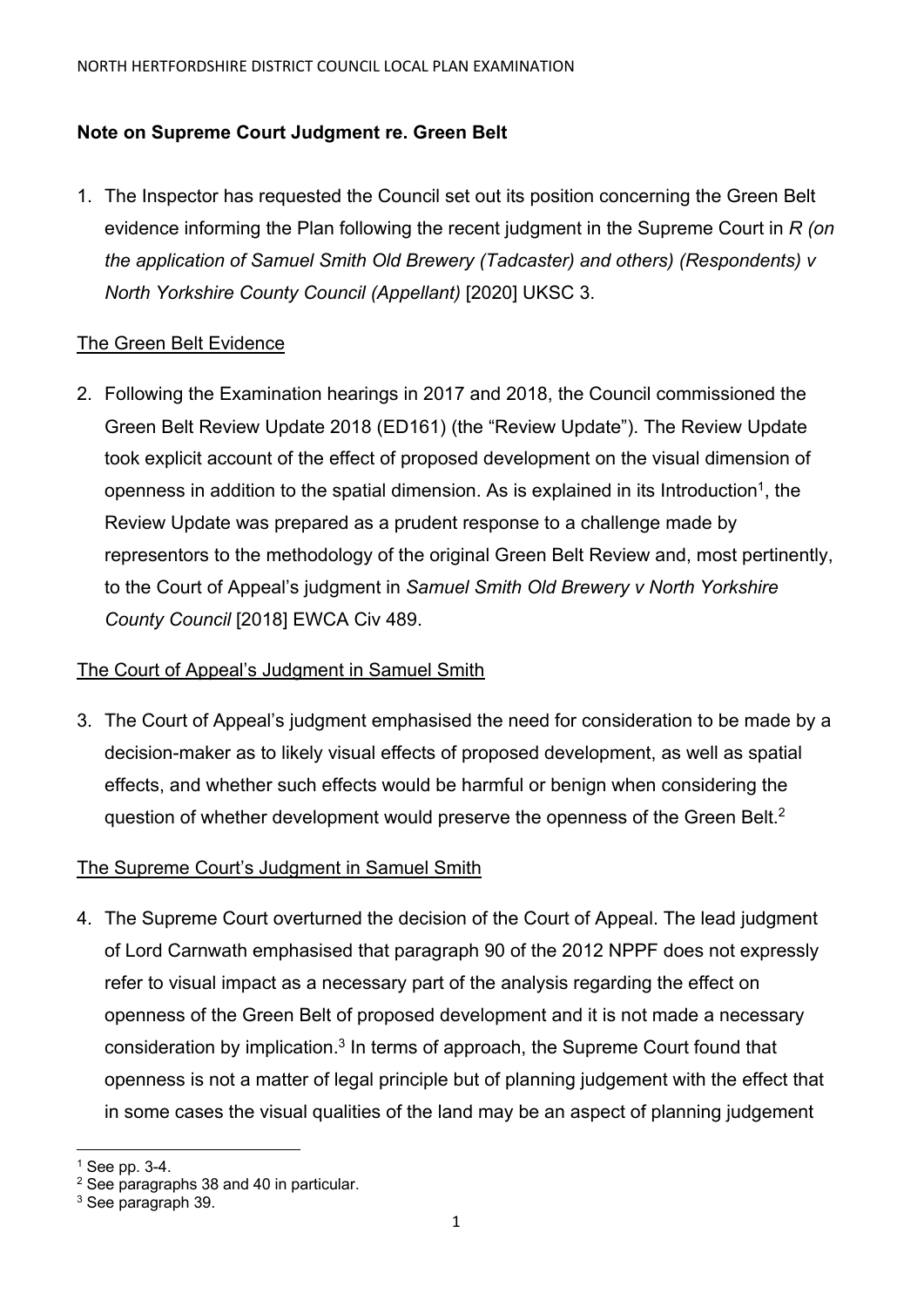# **Note on Supreme Court Judgment re. Green Belt**

1. The Inspector has requested the Council set out its position concerning the Green Belt evidence informing the Plan following the recent judgment in the Supreme Court in *R (on the application of Samuel Smith Old Brewery (Tadcaster) and others) (Respondents) v North Yorkshire County Council (Appellant)* [2020] UKSC 3.

# The Green Belt Evidence

2. Following the Examination hearings in 2017 and 2018, the Council commissioned the Green Belt Review Update 2018 (ED161) (the "Review Update"). The Review Update took explicit account of the effect of proposed development on the visual dimension of openness in addition to the spatial dimension. As is explained in its Introduction<sup>1</sup>, the Review Update was prepared as a prudent response to a challenge made by representors to the methodology of the original Green Belt Review and, most pertinently, to the Court of Appeal's judgment in *Samuel Smith Old Brewery v North Yorkshire County Council* [2018] EWCA Civ 489.

### The Court of Appeal's Judgment in Samuel Smith

3. The Court of Appeal's judgment emphasised the need for consideration to be made by a decision-maker as to likely visual effects of proposed development, as well as spatial effects, and whether such effects would be harmful or benign when considering the question of whether development would preserve the openness of the Green Belt.<sup>2</sup>

# The Supreme Court's Judgment in Samuel Smith

4. The Supreme Court overturned the decision of the Court of Appeal. The lead judgment of Lord Carnwath emphasised that paragraph 90 of the 2012 NPPF does not expressly refer to visual impact as a necessary part of the analysis regarding the effect on openness of the Green Belt of proposed development and it is not made a necessary consideration by implication.3 In terms of approach, the Supreme Court found that openness is not a matter of legal principle but of planning judgement with the effect that in some cases the visual qualities of the land may be an aspect of planning judgement

 $<sup>1</sup>$  See pp. 3-4.</sup>

<sup>&</sup>lt;sup>2</sup> See paragraphs 38 and 40 in particular.

<sup>3</sup> See paragraph 39.